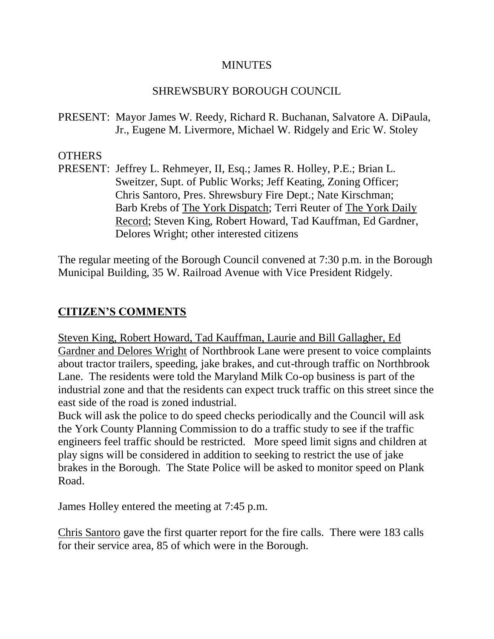#### **MINUTES**

### SHREWSBURY BOROUGH COUNCIL

PRESENT: Mayor James W. Reedy, Richard R. Buchanan, Salvatore A. DiPaula, Jr., Eugene M. Livermore, Michael W. Ridgely and Eric W. Stoley

### OTHERS

PRESENT: Jeffrey L. Rehmeyer, II, Esq.; James R. Holley, P.E.; Brian L. Sweitzer, Supt. of Public Works; Jeff Keating, Zoning Officer; Chris Santoro, Pres. Shrewsbury Fire Dept.; Nate Kirschman; Barb Krebs of The York Dispatch; Terri Reuter of The York Daily Record; Steven King, Robert Howard, Tad Kauffman, Ed Gardner, Delores Wright; other interested citizens

The regular meeting of the Borough Council convened at 7:30 p.m. in the Borough Municipal Building, 35 W. Railroad Avenue with Vice President Ridgely.

# **CITIZEN'S COMMENTS**

Steven King, Robert Howard, Tad Kauffman, Laurie and Bill Gallagher, Ed Gardner and Delores Wright of Northbrook Lane were present to voice complaints about tractor trailers, speeding, jake brakes, and cut-through traffic on Northbrook Lane. The residents were told the Maryland Milk Co-op business is part of the industrial zone and that the residents can expect truck traffic on this street since the east side of the road is zoned industrial.

Buck will ask the police to do speed checks periodically and the Council will ask the York County Planning Commission to do a traffic study to see if the traffic engineers feel traffic should be restricted. More speed limit signs and children at play signs will be considered in addition to seeking to restrict the use of jake brakes in the Borough. The State Police will be asked to monitor speed on Plank Road.

James Holley entered the meeting at 7:45 p.m.

Chris Santoro gave the first quarter report for the fire calls. There were 183 calls for their service area, 85 of which were in the Borough.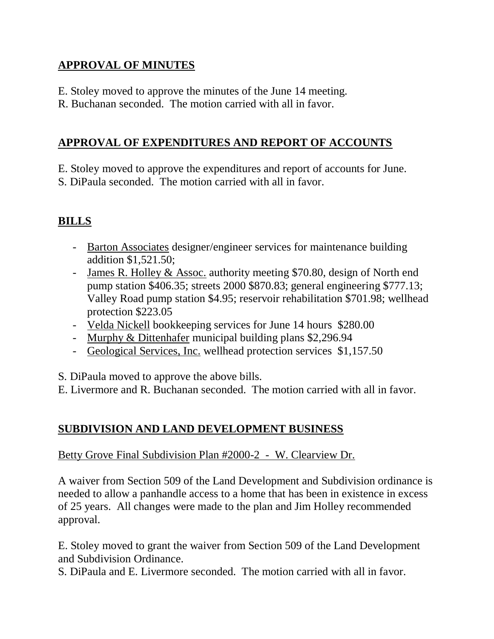# **APPROVAL OF MINUTES**

- E. Stoley moved to approve the minutes of the June 14 meeting.
- R. Buchanan seconded. The motion carried with all in favor.

### **APPROVAL OF EXPENDITURES AND REPORT OF ACCOUNTS**

E. Stoley moved to approve the expenditures and report of accounts for June.

S. DiPaula seconded. The motion carried with all in favor.

# **BILLS**

- Barton Associates designer/engineer services for maintenance building addition \$1,521.50;
- James R. Holley & Assoc. authority meeting \$70.80, design of North end pump station \$406.35; streets 2000 \$870.83; general engineering \$777.13; Valley Road pump station \$4.95; reservoir rehabilitation \$701.98; wellhead protection \$223.05
- Velda Nickell bookkeeping services for June 14 hours \$280.00
- Murphy & Dittenhafer municipal building plans \$2,296.94
- Geological Services, Inc. wellhead protection services \$1,157.50

S. DiPaula moved to approve the above bills.

E. Livermore and R. Buchanan seconded. The motion carried with all in favor.

# **SUBDIVISION AND LAND DEVELOPMENT BUSINESS**

Betty Grove Final Subdivision Plan #2000-2 - W. Clearview Dr.

A waiver from Section 509 of the Land Development and Subdivision ordinance is needed to allow a panhandle access to a home that has been in existence in excess of 25 years. All changes were made to the plan and Jim Holley recommended approval.

E. Stoley moved to grant the waiver from Section 509 of the Land Development and Subdivision Ordinance.

S. DiPaula and E. Livermore seconded. The motion carried with all in favor.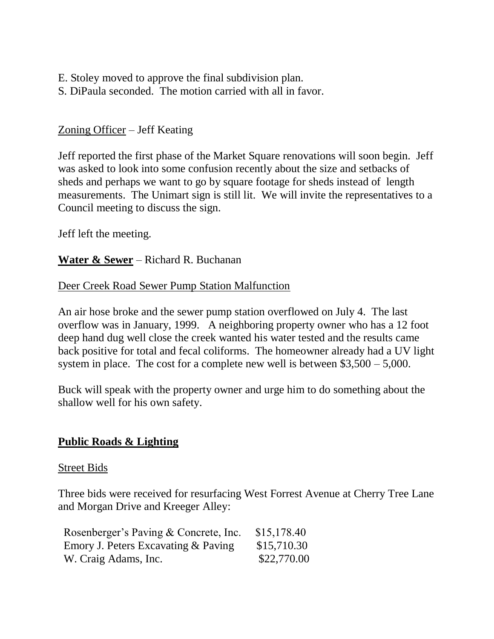- E. Stoley moved to approve the final subdivision plan.
- S. DiPaula seconded. The motion carried with all in favor.

## Zoning Officer – Jeff Keating

Jeff reported the first phase of the Market Square renovations will soon begin. Jeff was asked to look into some confusion recently about the size and setbacks of sheds and perhaps we want to go by square footage for sheds instead of length measurements. The Unimart sign is still lit. We will invite the representatives to a Council meeting to discuss the sign.

Jeff left the meeting.

**Water & Sewer** – Richard R. Buchanan

### Deer Creek Road Sewer Pump Station Malfunction

An air hose broke and the sewer pump station overflowed on July 4. The last overflow was in January, 1999. A neighboring property owner who has a 12 foot deep hand dug well close the creek wanted his water tested and the results came back positive for total and fecal coliforms. The homeowner already had a UV light system in place. The cost for a complete new well is between \$3,500 – 5,000.

Buck will speak with the property owner and urge him to do something about the shallow well for his own safety.

### **Public Roads & Lighting**

#### Street Bids

Three bids were received for resurfacing West Forrest Avenue at Cherry Tree Lane and Morgan Drive and Kreeger Alley:

| Rosenberger's Paving & Concrete, Inc. | \$15,178.40 |
|---------------------------------------|-------------|
| Emory J. Peters Excavating & Paving   | \$15,710.30 |
| W. Craig Adams, Inc.                  | \$22,770.00 |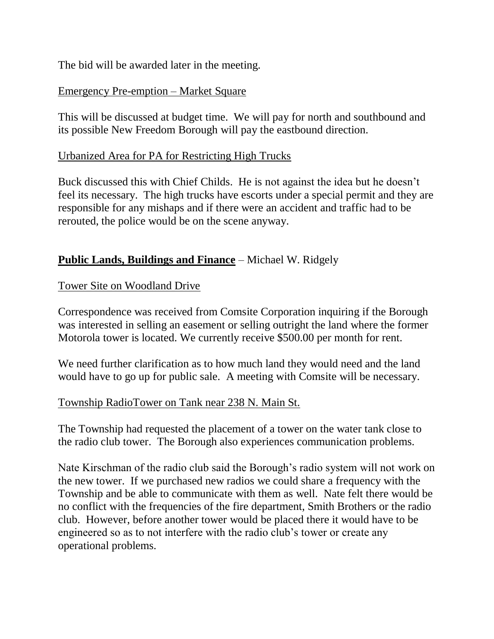The bid will be awarded later in the meeting.

### Emergency Pre-emption – Market Square

This will be discussed at budget time. We will pay for north and southbound and its possible New Freedom Borough will pay the eastbound direction.

### Urbanized Area for PA for Restricting High Trucks

Buck discussed this with Chief Childs. He is not against the idea but he doesn't feel its necessary. The high trucks have escorts under a special permit and they are responsible for any mishaps and if there were an accident and traffic had to be rerouted, the police would be on the scene anyway.

## **Public Lands, Buildings and Finance** – Michael W. Ridgely

### Tower Site on Woodland Drive

Correspondence was received from Comsite Corporation inquiring if the Borough was interested in selling an easement or selling outright the land where the former Motorola tower is located. We currently receive \$500.00 per month for rent.

We need further clarification as to how much land they would need and the land would have to go up for public sale. A meeting with Comsite will be necessary.

### Township RadioTower on Tank near 238 N. Main St.

The Township had requested the placement of a tower on the water tank close to the radio club tower. The Borough also experiences communication problems.

Nate Kirschman of the radio club said the Borough's radio system will not work on the new tower. If we purchased new radios we could share a frequency with the Township and be able to communicate with them as well. Nate felt there would be no conflict with the frequencies of the fire department, Smith Brothers or the radio club. However, before another tower would be placed there it would have to be engineered so as to not interfere with the radio club's tower or create any operational problems.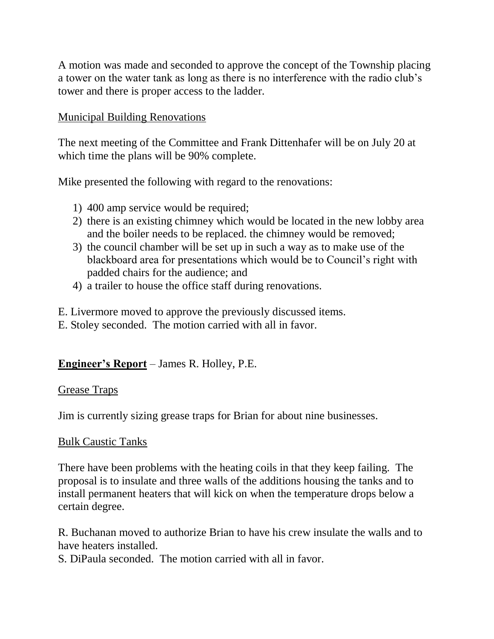A motion was made and seconded to approve the concept of the Township placing a tower on the water tank as long as there is no interference with the radio club's tower and there is proper access to the ladder.

### Municipal Building Renovations

The next meeting of the Committee and Frank Dittenhafer will be on July 20 at which time the plans will be 90% complete.

Mike presented the following with regard to the renovations:

- 1) 400 amp service would be required;
- 2) there is an existing chimney which would be located in the new lobby area and the boiler needs to be replaced. the chimney would be removed;
- 3) the council chamber will be set up in such a way as to make use of the blackboard area for presentations which would be to Council's right with padded chairs for the audience; and
- 4) a trailer to house the office staff during renovations.

E. Livermore moved to approve the previously discussed items.

E. Stoley seconded. The motion carried with all in favor.

# **Engineer's Report** – James R. Holley, P.E.

### Grease Traps

Jim is currently sizing grease traps for Brian for about nine businesses.

### Bulk Caustic Tanks

There have been problems with the heating coils in that they keep failing. The proposal is to insulate and three walls of the additions housing the tanks and to install permanent heaters that will kick on when the temperature drops below a certain degree.

R. Buchanan moved to authorize Brian to have his crew insulate the walls and to have heaters installed.

S. DiPaula seconded. The motion carried with all in favor.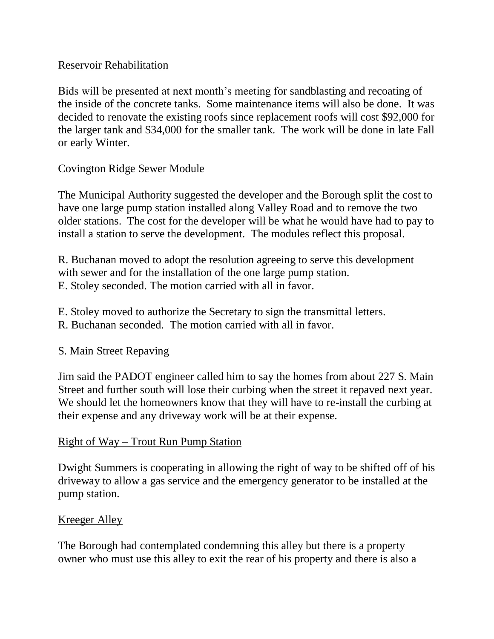### Reservoir Rehabilitation

Bids will be presented at next month's meeting for sandblasting and recoating of the inside of the concrete tanks. Some maintenance items will also be done. It was decided to renovate the existing roofs since replacement roofs will cost \$92,000 for the larger tank and \$34,000 for the smaller tank. The work will be done in late Fall or early Winter.

### Covington Ridge Sewer Module

The Municipal Authority suggested the developer and the Borough split the cost to have one large pump station installed along Valley Road and to remove the two older stations. The cost for the developer will be what he would have had to pay to install a station to serve the development. The modules reflect this proposal.

R. Buchanan moved to adopt the resolution agreeing to serve this development with sewer and for the installation of the one large pump station. E. Stoley seconded. The motion carried with all in favor.

E. Stoley moved to authorize the Secretary to sign the transmittal letters.

R. Buchanan seconded. The motion carried with all in favor.

### S. Main Street Repaving

Jim said the PADOT engineer called him to say the homes from about 227 S. Main Street and further south will lose their curbing when the street it repaved next year. We should let the homeowners know that they will have to re-install the curbing at their expense and any driveway work will be at their expense.

### Right of Way – Trout Run Pump Station

Dwight Summers is cooperating in allowing the right of way to be shifted off of his driveway to allow a gas service and the emergency generator to be installed at the pump station.

### Kreeger Alley

The Borough had contemplated condemning this alley but there is a property owner who must use this alley to exit the rear of his property and there is also a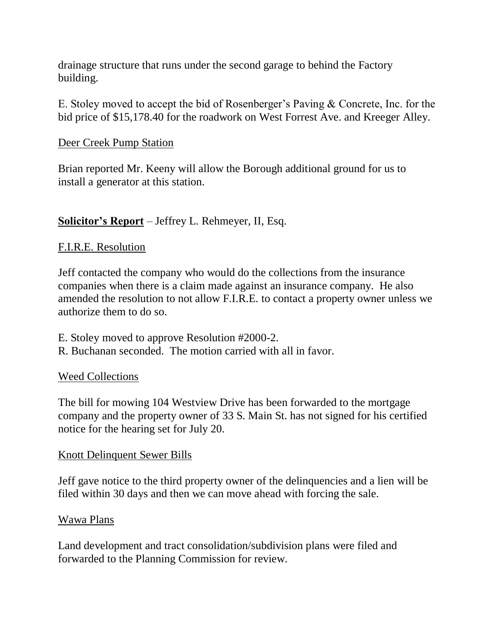drainage structure that runs under the second garage to behind the Factory building.

E. Stoley moved to accept the bid of Rosenberger's Paving & Concrete, Inc. for the bid price of \$15,178.40 for the roadwork on West Forrest Ave. and Kreeger Alley.

### Deer Creek Pump Station

Brian reported Mr. Keeny will allow the Borough additional ground for us to install a generator at this station.

### **Solicitor's Report** – Jeffrey L. Rehmeyer, II, Esq.

### F.I.R.E. Resolution

Jeff contacted the company who would do the collections from the insurance companies when there is a claim made against an insurance company. He also amended the resolution to not allow F.I.R.E. to contact a property owner unless we authorize them to do so.

- E. Stoley moved to approve Resolution #2000-2.
- R. Buchanan seconded. The motion carried with all in favor.

### Weed Collections

The bill for mowing 104 Westview Drive has been forwarded to the mortgage company and the property owner of 33 S. Main St. has not signed for his certified notice for the hearing set for July 20.

### Knott Delinquent Sewer Bills

Jeff gave notice to the third property owner of the delinquencies and a lien will be filed within 30 days and then we can move ahead with forcing the sale.

### Wawa Plans

Land development and tract consolidation/subdivision plans were filed and forwarded to the Planning Commission for review.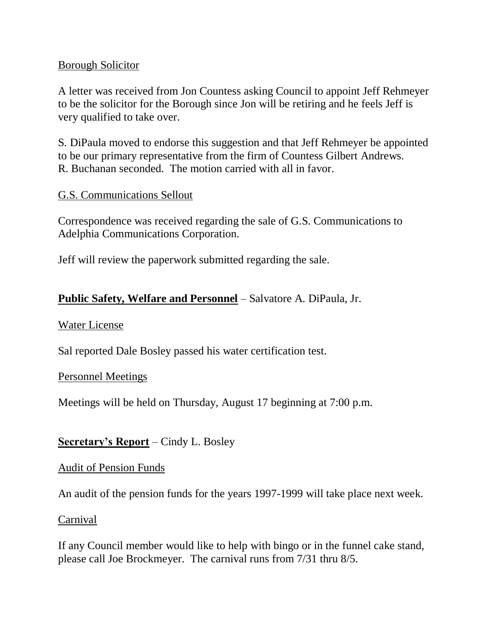### Borough Solicitor

A letter was received from Jon Countess asking Council to appoint Jeff Rehmeyer to be the solicitor for the Borough since Jon will be retiring and he feels Jeff is very qualified to take over.

S. DiPaula moved to endorse this suggestion and that Jeff Rehmeyer be appointed to be our primary representative from the firm of Countess Gilbert Andrews. R. Buchanan seconded. The motion carried with all in favor.

### G.S. Communications Sellout

Correspondence was received regarding the sale of G.S. Communications to Adelphia Communications Corporation.

Jeff will review the paperwork submitted regarding the sale.

### **Public Safety, Welfare and Personnel** – Salvatore A. DiPaula, Jr.

### Water License

Sal reported Dale Bosley passed his water certification test.

### Personnel Meetings

Meetings will be held on Thursday, August 17 beginning at 7:00 p.m.

### **Secretary's Report** – Cindy L. Bosley

### Audit of Pension Funds

An audit of the pension funds for the years 1997-1999 will take place next week.

### Carnival

If any Council member would like to help with bingo or in the funnel cake stand, please call Joe Brockmeyer. The carnival runs from 7/31 thru 8/5.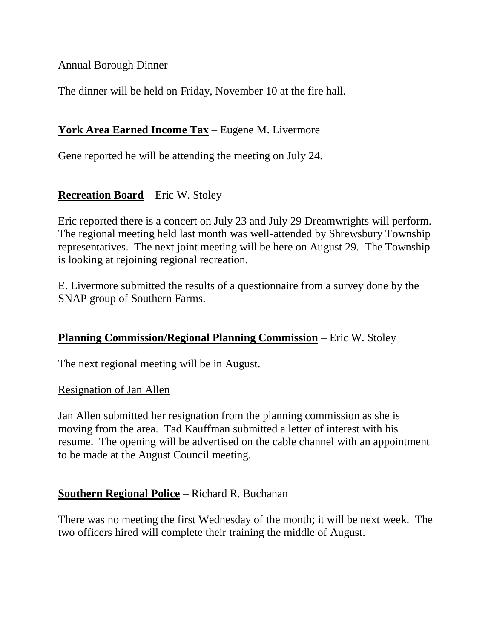### Annual Borough Dinner

The dinner will be held on Friday, November 10 at the fire hall.

### **York Area Earned Income Tax** – Eugene M. Livermore

Gene reported he will be attending the meeting on July 24.

## **Recreation Board** – Eric W. Stoley

Eric reported there is a concert on July 23 and July 29 Dreamwrights will perform. The regional meeting held last month was well-attended by Shrewsbury Township representatives. The next joint meeting will be here on August 29. The Township is looking at rejoining regional recreation.

E. Livermore submitted the results of a questionnaire from a survey done by the SNAP group of Southern Farms.

### **Planning Commission/Regional Planning Commission** – Eric W. Stoley

The next regional meeting will be in August.

### Resignation of Jan Allen

Jan Allen submitted her resignation from the planning commission as she is moving from the area. Tad Kauffman submitted a letter of interest with his resume. The opening will be advertised on the cable channel with an appointment to be made at the August Council meeting.

### **Southern Regional Police** – Richard R. Buchanan

There was no meeting the first Wednesday of the month; it will be next week. The two officers hired will complete their training the middle of August.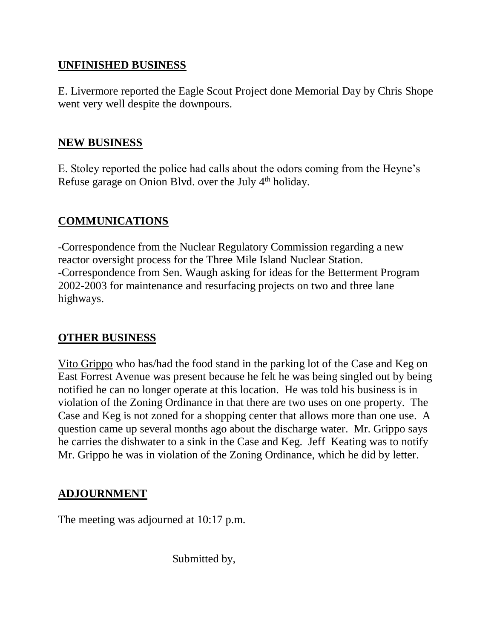### **UNFINISHED BUSINESS**

E. Livermore reported the Eagle Scout Project done Memorial Day by Chris Shope went very well despite the downpours.

#### **NEW BUSINESS**

E. Stoley reported the police had calls about the odors coming from the Heyne's Refuse garage on Onion Blvd. over the July  $4<sup>th</sup>$  holiday.

### **COMMUNICATIONS**

-Correspondence from the Nuclear Regulatory Commission regarding a new reactor oversight process for the Three Mile Island Nuclear Station. -Correspondence from Sen. Waugh asking for ideas for the Betterment Program 2002-2003 for maintenance and resurfacing projects on two and three lane highways.

### **OTHER BUSINESS**

Vito Grippo who has/had the food stand in the parking lot of the Case and Keg on East Forrest Avenue was present because he felt he was being singled out by being notified he can no longer operate at this location. He was told his business is in violation of the Zoning Ordinance in that there are two uses on one property. The Case and Keg is not zoned for a shopping center that allows more than one use. A question came up several months ago about the discharge water. Mr. Grippo says he carries the dishwater to a sink in the Case and Keg. Jeff Keating was to notify Mr. Grippo he was in violation of the Zoning Ordinance, which he did by letter.

### **ADJOURNMENT**

The meeting was adjourned at 10:17 p.m.

Submitted by,